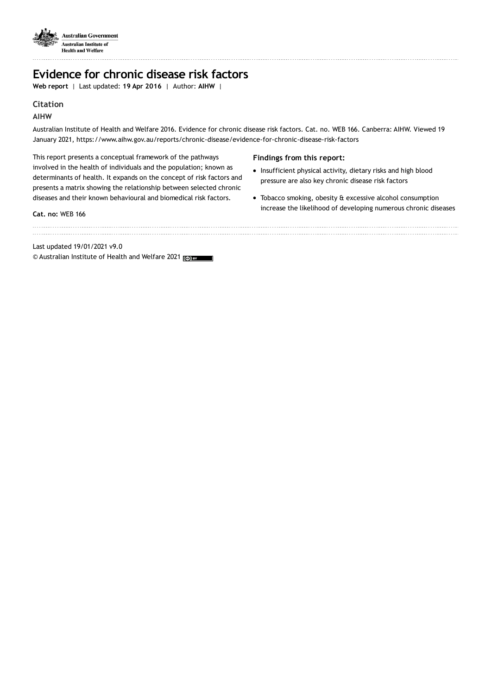

. . . . . . . . . . . . . . . . .

# **Evidence for chronic disease risk factors**

**Web report** | Last updated: **19 Apr 2016** | Author: **AIHW** |

# **Citation**

# **AIHW**

Australian Institute of Health and Welfare 2016. Evidence for chronic disease risk factors. Cat. no. WEB 166. Canberra: AIHW. Viewed 19 January 2021, https://www.aihw.gov.au/reports/chronic-disease/evidence-for-chronic-disease-risk-factors

This report presents a conceptual framework of the pathways involved in the health of individuals and the population; known as determinants of health. It expands on the concept of risk factors and presents a matrix showing the relationship between selected chronic diseases and their known behavioural and biomedical risk factors.

## **Cat. no:** WEB 166

**Findings from this report:**

- Insufficient physical activity, dietary risks and high blood pressure are also key chronic disease risk factors
- Tobacco smoking, obesity & excessive alcohol consumption increase the likelihood of developing numerous chronic diseases

Last updated 19/01/2021 v9.0

© Australian Institute of Health and Welfare 2021 <sub>IC</sub> BY  $\blacksquare$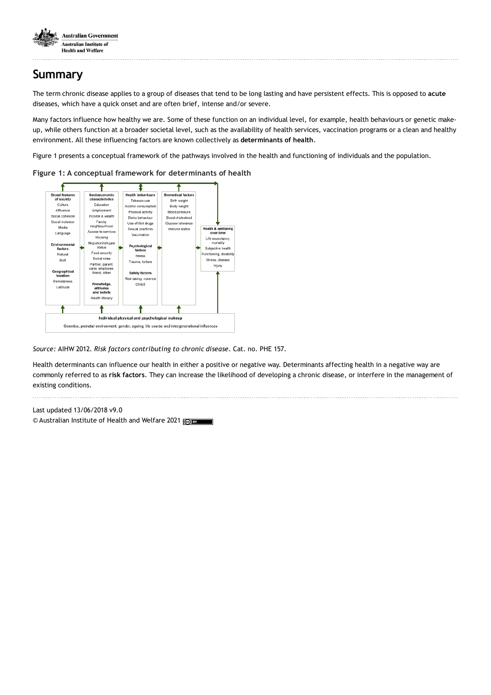

# **Summary**

The term chronic disease applies to a group of diseases that tend to be long lasting and have persistent effects. This is opposed to **acute** diseases, which have a quick onset and are often brief, intense and/or severe.

Many factors influence how healthy we are. Some of these function on an individual level, for example, health behaviours or genetic makeup, while others function at a broader societal level, such as the availability of health services, vaccination programs or a clean and healthy environment. All these influencing factors are known collectively as **determinants of health**.

Figure 1 presents a conceptual framework of the pathways involved in the health and functioning of individuals and the population.



**Figure 1: A conceptual framework for determinants of health**

*Source:* AIHW 2012. *Risk factors contributing to chronic disease*. Cat. no. PHE 157.

Health determinants can influence our health in either a positive or negative way. Determinants affecting health in a negative way are commonly referred to as **risk factors**. They can increase the likelihood of developing a chronic disease, or interfere in the management of existing conditions.

Last updated 13/06/2018 v9.0 © Australian Institute of Health and Welfare 2021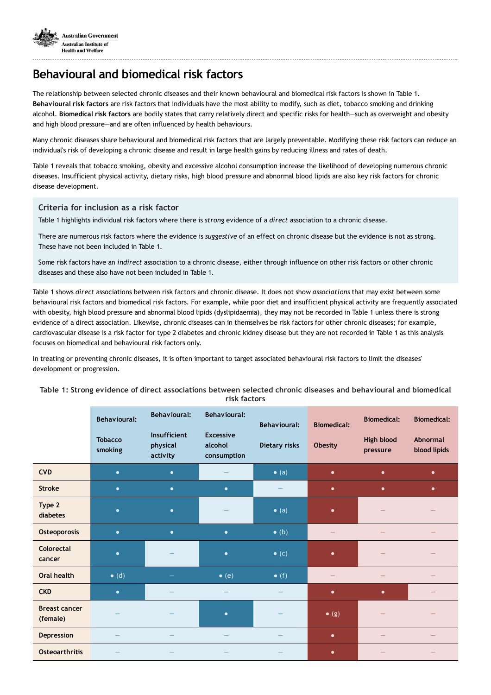

# **Behavioural and biomedical risk factors**

The relationship between selected chronic diseases and their known behavioural and biomedical risk factors is shown in Table 1. **Behavioural risk factors** are risk factors that individuals have the most ability to modify, such as diet, tobacco smoking and drinking alcohol. **Biomedical risk factors** are bodily states that carry relatively direct and specific risks for health—such as overweight and obesity and high blood pressure—and are often influenced by health behaviours.

Many chronic diseases share behavioural and biomedical risk factors that are largely preventable. Modifying these risk factors can reduce an individual's risk of developing a chronic disease and result in large health gains by reducing illness and rates of death.

Table 1 reveals that tobacco smoking, obesity and excessive alcohol consumption increase the likelihood of developing numerous chronic diseases. Insufficient physical activity, dietary risks, high blood pressure and abnormal blood lipids are also key risk factors for chronic disease development.

## **Criteria for inclusion as a risk factor**

Table 1 highlights individual risk factors where there is *strong* evidence of a *direct* association to a chronic disease.

There are numerous risk factors where the evidence is *suggestive* of an effect on chronic disease but the evidence is not as strong. These have not been included in Table 1.

Some risk factors have an *indirect* association to a chronic disease, either through influence on other risk factors or other chronic diseases and these also have not been included in Table 1.

Table 1 shows *direct* associations between risk factors and chronic disease. It does not show *associations* that may exist between some behavioural risk factors and biomedical risk factors. For example, while poor diet and insufficient physical activity are frequently associated with obesity, high blood pressure and abnormal blood lipids (dyslipidaemia), they may not be recorded in Table 1 unless there is strong evidence of a direct association. Likewise, chronic diseases can in themselves be risk factors for other chronic diseases; for example, cardiovascular disease is a risk factor for type 2 diabetes and chronic kidney disease but they are not recorded in Table 1 as this analysis focuses on biomedical and behavioural risk factors only.

In treating or preventing chronic diseases, it is often important to target associated behavioural risk factors to limit the diseases' development or progression.

| Table 1: Strong evidence of direct associations between selected chronic diseases and behavioural and biomedical |
|------------------------------------------------------------------------------------------------------------------|
| risk factors                                                                                                     |

|                                  | <b>Behavioural:</b>       | <b>Behavioural:</b>                  | <b>Behavioural:</b>                        | <b>Behavioural:</b> | <b>Biomedical:</b> | <b>Biomedical:</b>     | <b>Biomedical:</b>       |
|----------------------------------|---------------------------|--------------------------------------|--------------------------------------------|---------------------|--------------------|------------------------|--------------------------|
|                                  | <b>Tobacco</b><br>smoking | Insufficient<br>physical<br>activity | <b>Excessive</b><br>alcohol<br>consumption | Dietary risks       | Obesity            | High blood<br>pressure | Abnormal<br>blood lipids |
| <b>CVD</b>                       | $\bullet$                 | $\bullet$                            |                                            | $\bullet$ (a)       | $\bullet$          | $\bullet$              | $\bullet$                |
| <b>Stroke</b>                    | $\bullet$                 | $\bullet$                            | $\bullet$                                  |                     | $\bullet$          | $\bullet$              | $\bullet$                |
| Type 2<br>diabetes               | $\bullet$                 | $\bullet$                            |                                            | $\bullet$ (a)       | $\bullet$          |                        |                          |
| Osteoporosis                     | $\bullet$                 | $\bullet$                            | $\bullet$                                  | $\bullet$ (b)       | -                  |                        |                          |
| Colorectal<br>cancer             | $\bullet$                 |                                      | $\bullet$                                  | $\bullet$ (c)       | $\bullet$          |                        |                          |
| <b>Oral health</b>               | $\bullet$ (d)             |                                      | $\bullet$ (e)                              | $\bullet$ (f)       | -                  |                        |                          |
| <b>CKD</b>                       | $\bullet$                 |                                      |                                            |                     | $\bullet$          | $\bullet$              |                          |
| <b>Breast cancer</b><br>(female) |                           |                                      | $\bullet$                                  |                     | $\bullet$ (g)      |                        |                          |
| Depression                       |                           |                                      |                                            |                     | $\bullet$          | -                      |                          |
| <b>Osteoarthritis</b>            |                           |                                      |                                            |                     | $\bullet$          |                        |                          |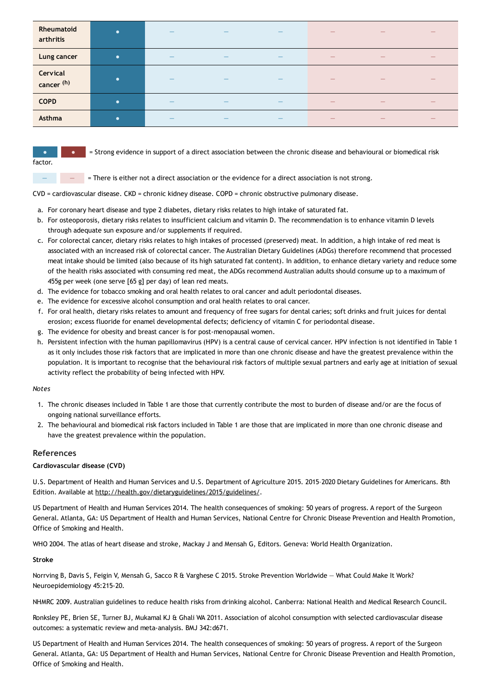| Rheumatoid<br>arthritis | $\bullet$ |  |  |     |     |
|-------------------------|-----------|--|--|-----|-----|
| Lung cancer             | $\bullet$ |  |  |     | —   |
| Cervical<br>cancer (h)  | $\bullet$ |  |  |     |     |
| <b>COPD</b>             | $\bullet$ |  |  |     | $-$ |
| Asthma                  | $\bullet$ |  |  | $-$ | $-$ |

factor.

= Strong evidence in support of a direct association between the chronic disease and behavioural or biomedical risk

 $\blacksquare$   $\blacksquare$  = There is either not a direct association or the evidence for a direct association is not strong.

CVD = cardiovascular disease. CKD = chronic kidney disease. COPD = chronic obstructive pulmonary disease.

- a. For coronary heart disease and type 2 diabetes, dietary risks relates to high intake of saturated fat.
- b. For osteoporosis, dietary risks relates to insufficient calcium and vitamin D. The recommendation is to enhance vitamin D levels through adequate sun exposure and/or supplements if required.
- c. For colorectal cancer, dietary risks relates to high intakes of processed (preserved) meat. In addition, a high intake of red meat is associated with an increased risk of colorectal cancer. The Australian Dietary Guidelines (ADGs) therefore recommend that processed meat intake should be limited (also because of its high saturated fat content). In addition, to enhance dietary variety and reduce some of the health risks associated with consuming red meat, the ADGs recommend Australian adults should consume up to a maximum of 455g per week (one serve [65 g] per day) of lean red meats.
- d. The evidence for tobacco smoking and oral health relates to oral cancer and adult periodontal diseases.
- e. The evidence for excessive alcohol consumption and oral health relates to oral cancer.
- f. For oral health, dietary risks relates to amount and frequency of free sugars for dental caries; soft drinks and fruit juices for dental erosion; excess fluoride for enamel developmental defects; deficiency of vitamin C for periodontal disease.
- g. The evidence for obesity and breast cancer is for post-menopausal women.
- h. Persistent infection with the human papillomavirus (HPV) is a central cause of cervical cancer. HPV infection is not identified in Table 1 as it only includes those risk factors that are implicated in more than one chronic disease and have the greatest prevalence within the population. It is important to recognise that the behavioural risk factors of multiple sexual partners and early age at initiation of sexual activity reflect the probability of being infected with HPV.

## *Notes*

- 1. The chronic diseases included in Table 1 are those that currently contribute the most to burden of disease and/or are the focus of ongoing national surveillance efforts.
- 2. The behavioural and biomedical risk factors included in Table 1 are those that are implicated in more than one chronic disease and have the greatest prevalence within the population.

## **References**

## **Cardiovascular disease (CVD)**

U.S. Department of Health and Human Services and U.S. Department of Agriculture 2015. 2015–2020 Dietary Guidelines for Americans. 8th Edition. Available at [http://health.gov/dietaryguidelines/2015/guidelines/.](http://health.gov/dietaryguidelines/2015/guidelines/)

US Department of Health and Human Services 2014. The health consequences of smoking: 50 years of progress. A report of the Surgeon General. Atlanta, GA: US Department of Health and Human Services, National Centre for Chronic Disease Prevention and Health Promotion, Office of Smoking and Health.

WHO 2004. The atlas of heart disease and stroke, Mackay J and Mensah G, Editors. Geneva: World Health Organization.

## **Stroke**

Norrving B, Davis S, Feigin V, Mensah G, Sacco R & Varghese C 2015. Stroke Prevention Worldwide — What Could Make It Work? Neuroepidemiology 45:215-20.

NHMRC 2009. Australian guidelines to reduce health risks from drinking alcohol. Canberra: National Health and Medical Research Council.

Ronksley PE, Brien SE, Turner BJ, Mukamal KJ & Ghali WA 2011. Association of alcohol consumption with selected cardiovascular disease outcomes: a systematic review and meta-analysis. BMJ 342:d671.

US Department of Health and Human Services 2014. The health consequences of smoking: 50 years of progress. A report of the Surgeon General. Atlanta, GA: US Department of Health and Human Services, National Centre for Chronic Disease Prevention and Health Promotion, Office of Smoking and Health.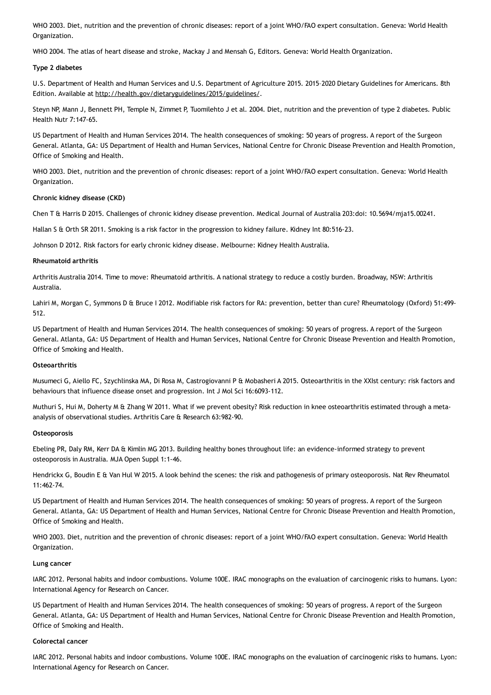WHO 2003. Diet, nutrition and the prevention of chronic diseases: report of a joint WHO/FAO expert consultation. Geneva: World Health Organization.

WHO 2004. The atlas of heart disease and stroke, Mackay J and Mensah G, Editors. Geneva: World Health Organization.

#### **Type 2 diabetes**

U.S. Department of Health and Human Services and U.S. Department of Agriculture 2015. 2015–2020 Dietary Guidelines for Americans. 8th Edition. Available at [http://health.gov/dietaryguidelines/2015/guidelines/.](http://health.gov/dietaryguidelines/2015/guidelines/)

Steyn NP, Mann J, Bennett PH, Temple N, Zimmet P, Tuomilehto J et al. 2004. Diet, nutrition and the prevention of type 2 diabetes. Public Health Nutr 7:147-65.

US Department of Health and Human Services 2014. The health consequences of smoking: 50 years of progress. A report of the Surgeon General. Atlanta, GA: US Department of Health and Human Services, National Centre for Chronic Disease Prevention and Health Promotion, Office of Smoking and Health.

WHO 2003. Diet, nutrition and the prevention of chronic diseases: report of a joint WHO/FAO expert consultation. Geneva: World Health Organization.

#### **Chronic kidney disease (CKD)**

Chen T & Harris D 2015. Challenges of chronic kidney disease prevention. Medical Journal of Australia 203:doi: 10.5694/mja15.00241.

Hallan S & Orth SR 2011. Smoking is a risk factor in the progression to kidney failure. Kidney Int 80:516-23.

Johnson D 2012. Risk factors for early chronic kidney disease. Melbourne: Kidney Health Australia.

#### **Rheumatoid arthritis**

Arthritis Australia 2014. Time to move: Rheumatoid arthritis. A national strategy to reduce a costly burden. Broadway, NSW: Arthritis Australia.

Lahiri M, Morgan C, Symmons D & Bruce I 2012. Modifiable risk factors for RA: prevention, better than cure? Rheumatology (Oxford) 51:499-512.

US Department of Health and Human Services 2014. The health consequences of smoking: 50 years of progress. A report of the Surgeon General. Atlanta, GA: US Department of Health and Human Services, National Centre for Chronic Disease Prevention and Health Promotion, Office of Smoking and Health.

#### **Osteoarthritis**

Musumeci G, Aiello FC, Szychlinska MA, Di Rosa M, Castrogiovanni P & Mobasheri A 2015. Osteoarthritis in the XXIst century: risk factors and behaviours that influence disease onset and progression. Int J Mol Sci 16:6093-112.

Muthuri S, Hui M, Doherty M & Zhang W 2011. What if we prevent obesity? Risk reduction in knee osteoarthritis estimated through a metaanalysis of observational studies. Arthritis Care & Research 63:982-90.

#### **Osteoporosis**

Ebeling PR, Daly RM, Kerr DA & Kimlin MG 2013. Building healthy bones throughout life: an evidence-informed strategy to prevent osteoporosis in Australia. MJA Open Suppl 1:1-46.

Hendrickx G, Boudin E & Van Hul W 2015. A look behind the scenes: the risk and pathogenesis of primary osteoporosis. Nat Rev Rheumatol  $11:462-74$ 

US Department of Health and Human Services 2014. The health consequences of smoking: 50 years of progress. A report of the Surgeon General. Atlanta, GA: US Department of Health and Human Services, National Centre for Chronic Disease Prevention and Health Promotion, Office of Smoking and Health.

WHO 2003. Diet, nutrition and the prevention of chronic diseases: report of a joint WHO/FAO expert consultation. Geneva: World Health Organization.

#### **Lung cancer**

IARC 2012. Personal habits and indoor combustions. Volume 100E. IRAC monographs on the evaluation of carcinogenic risks to humans. Lyon: International Agency for Research on Cancer.

US Department of Health and Human Services 2014. The health consequences of smoking: 50 years of progress. A report of the Surgeon General. Atlanta, GA: US Department of Health and Human Services, National Centre for Chronic Disease Prevention and Health Promotion, Office of Smoking and Health.

#### **Colorectal cancer**

IARC 2012. Personal habits and indoor combustions. Volume 100E. IRAC monographs on the evaluation of carcinogenic risks to humans. Lyon: International Agency for Research on Cancer.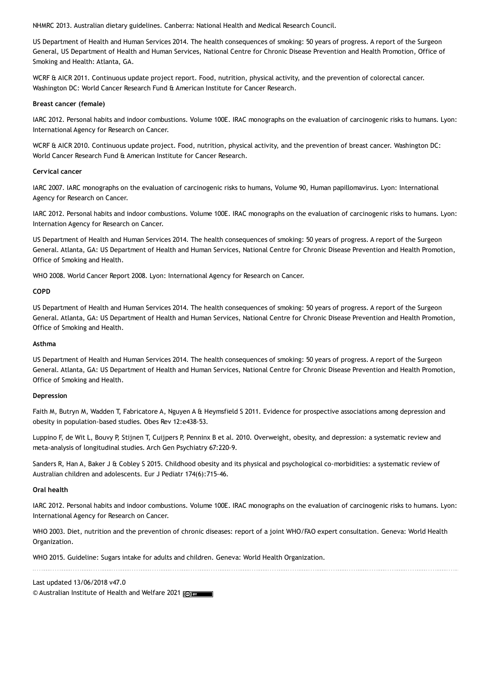NHMRC 2013. Australian dietary guidelines. Canberra: National Health and Medical Research Council.

US Department of Health and Human Services 2014. The health consequences of smoking: 50 years of progress. A report of the Surgeon General, US Department of Health and Human Services, National Centre for Chronic Disease Prevention and Health Promotion, Office of Smoking and Health: Atlanta, GA.

WCRF & AICR 2011. Continuous update project report. Food, nutrition, physical activity, and the prevention of colorectal cancer. Washington DC: World Cancer Research Fund & American Institute for Cancer Research.

#### **Breast cancer (female)**

IARC 2012. Personal habits and indoor combustions. Volume 100E. IRAC monographs on the evaluation of carcinogenic risks to humans. Lyon: International Agency for Research on Cancer.

WCRF & AICR 2010. Continuous update project. Food, nutrition, physical activity, and the prevention of breast cancer. Washington DC: World Cancer Research Fund & American Institute for Cancer Research.

#### **Cervical cancer**

IARC 2007. IARC monographs on the evaluation of carcinogenic risks to humans, Volume 90, Human papillomavirus. Lyon: International Agency for Research on Cancer.

IARC 2012. Personal habits and indoor combustions. Volume 100E. IRAC monographs on the evaluation of carcinogenic risks to humans. Lyon: Internation Agency for Research on Cancer.

US Department of Health and Human Services 2014. The health consequences of smoking: 50 years of progress. A report of the Surgeon General. Atlanta, GA: US Department of Health and Human Services, National Centre for Chronic Disease Prevention and Health Promotion, Office of Smoking and Health.

WHO 2008. World Cancer Report 2008. Lyon: International Agency for Research on Cancer.

#### **COPD**

US Department of Health and Human Services 2014. The health consequences of smoking: 50 years of progress. A report of the Surgeon General. Atlanta, GA: US Department of Health and Human Services, National Centre for Chronic Disease Prevention and Health Promotion, Office of Smoking and Health.

#### **Asthma**

US Department of Health and Human Services 2014. The health consequences of smoking: 50 years of progress. A report of the Surgeon General. Atlanta, GA: US Department of Health and Human Services, National Centre for Chronic Disease Prevention and Health Promotion, Office of Smoking and Health.

#### **Depression**

Faith M, Butryn M, Wadden T, Fabricatore A, Nguyen A & Heymsfield S 2011. Evidence for prospective associations among depression and obesity in population-based studies. Obes Rev 12:e438-53.

Luppino F, de Wit L, Bouvy P, Stijnen T, Cuijpers P, Penninx B et al. 2010. Overweight, obesity, and depression: a systematic review and meta-analysis of longitudinal studies. Arch Gen Psychiatry 67:220-9.

Sanders R, Han A, Baker J & Cobley S 2015. Childhood obesity and its physical and psychological co-morbidities: a systematic review of Australian children and adolescents. Eur J Pediatr 174(6):715-46.

## **Oral health**

IARC 2012. Personal habits and indoor combustions. Volume 100E. IRAC monographs on the evaluation of carcinogenic risks to humans. Lyon: International Agency for Research on Cancer.

WHO 2003. Diet, nutrition and the prevention of chronic diseases: report of a joint WHO/FAO expert consultation. Geneva: World Health Organization.

WHO 2015. Guideline: Sugars intake for adults and children. Geneva: World Health Organization.

#### Last updated 13/06/2018 v47.0

© Australian Institute of Health and Welfare 2021 Test